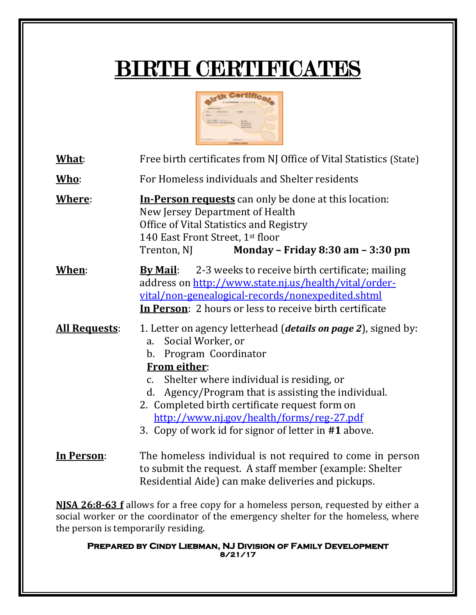## BIRTH CERTIFICATES



| What:                | Free birth certificates from NJ Office of Vital Statistics (State)                                                                                                                                                                                                                                                                                                                                                                   |
|----------------------|--------------------------------------------------------------------------------------------------------------------------------------------------------------------------------------------------------------------------------------------------------------------------------------------------------------------------------------------------------------------------------------------------------------------------------------|
| Who:                 | For Homeless individuals and Shelter residents                                                                                                                                                                                                                                                                                                                                                                                       |
| Where:               | <b>In-Person requests</b> can only be done at this location:<br>New Jersey Department of Health<br>Office of Vital Statistics and Registry<br>140 East Front Street, 1st floor<br>Monday - Friday 8:30 am - 3:30 pm<br>Trenton, NJ                                                                                                                                                                                                   |
| <u>When:</u>         | 2-3 weeks to receive birth certificate; mailing<br><b>By Mail:</b><br>address on http://www.state.nj.us/health/vital/order-<br>vital/non-genealogical-records/nonexpedited.shtml<br>In Person: 2 hours or less to receive birth certificate                                                                                                                                                                                          |
| <b>All Requests:</b> | 1. Letter on agency letterhead ( <i>details on page 2</i> ), signed by:<br>Social Worker, or<br>a.<br>Program Coordinator<br>$\mathbf b$ .<br><b>From either:</b><br>Shelter where individual is residing, or<br>c.<br>Agency/Program that is assisting the individual.<br>d.<br>2. Completed birth certificate request form on<br>http://www.nj.gov/health/forms/reg-27.pdf<br>3. Copy of work id for signor of letter in #1 above. |
| In Person:           | The homeless individual is not required to come in person<br>to submit the request. A staff member (example: Shelter<br>Residential Aide) can make deliveries and pickups.                                                                                                                                                                                                                                                           |

**NJSA 26:8-63 f** allows for a free copy for a homeless person, requested by either a social worker or the coordinator of the emergency shelter for the homeless, where the person is temporarily residing.

**Prepared by Cindy Liebman, NJ Division of Family Development 8/21/17**